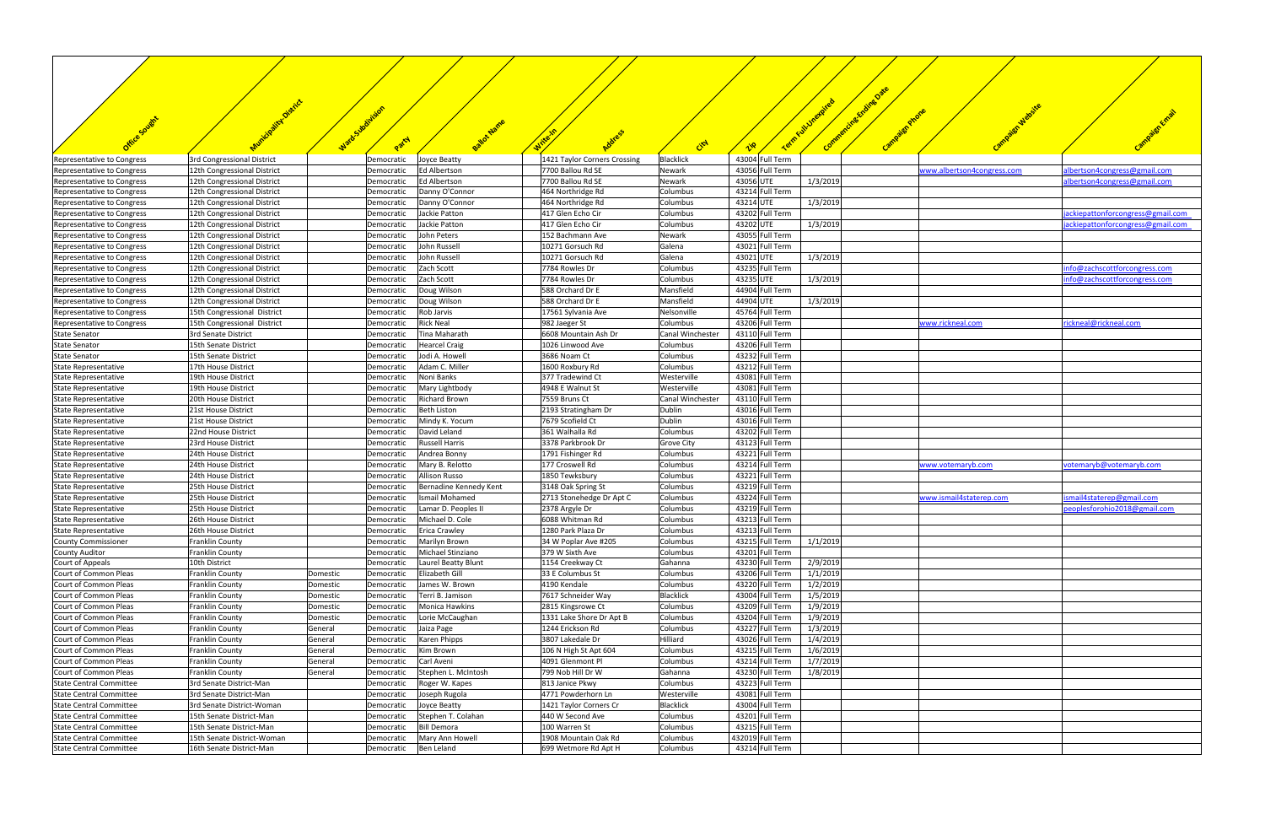|                                                          | ality District                                             |                    | watosubsiraidon          |                                         |                                           |                                 |                                    | Term Full Unexpired  | Carnpaign Wabsite          |                                   |
|----------------------------------------------------------|------------------------------------------------------------|--------------------|--------------------------|-----------------------------------------|-------------------------------------------|---------------------------------|------------------------------------|----------------------|----------------------------|-----------------------------------|
| Office Sought                                            |                                                            |                    |                          | Ballot Name                             |                                           |                                 |                                    | Campaign Phone       |                            |                                   |
|                                                          |                                                            |                    | Party                    |                                         |                                           | City                            |                                    |                      |                            |                                   |
| Representative to Congress                               | 3rd Congressional District                                 |                    | Democratic               | Joyce Beatty                            | 1421 Taylor Corners Crossing              | Blacklick                       | 43004 Full Term                    |                      |                            |                                   |
| Representative to Congress                               | 12th Congressional District                                |                    | Democratic               | Ed Albertson                            | 7700 Ballou Rd SE                         | Newark                          | 43056 Full Term                    |                      | www.albertson4congress.com | lbertson4congress@gmail.com       |
| Representative to Congress                               | 12th Congressional District                                |                    | Democratic               | <b>Ed Albertson</b>                     | 7700 Ballou Rd SE                         | Newark                          | 43056 UTE                          | 1/3/2019             |                            | albertson4congress@gmail.com      |
| Representative to Congress                               | 12th Congressional District                                |                    | Democratic               | Danny O'Connor                          | 464 Northridge Rd                         | Columbus                        | 43214 Full Term                    |                      |                            |                                   |
| Representative to Congress<br>Representative to Congress | 12th Congressional District<br>12th Congressional District |                    | Democratic<br>Democratic | Danny O'Connor<br>Jackie Patton         | 464 Northridge Rd<br>417 Glen Echo Cir    | Columbus<br>Columbus            | 43214 UTE<br>43202 Full Term       | 1/3/2019             |                            | jackiepattonforcongress@gmail.com |
| Representative to Congress                               | 12th Congressional District                                |                    | Democratic               | Jackie Patton                           | 417 Glen Echo Cir                         | Columbus                        | 43202 UTE                          | 1/3/2019             |                            | jackiepattonforcongress@gmail.com |
| Representative to Congress                               | 12th Congressional District                                |                    | Democratic               | John Peters                             | 152 Bachmann Ave                          | Newark                          | 43055 Full Term                    |                      |                            |                                   |
| Representative to Congress                               | 12th Congressional District                                |                    | Democratic               | John Russell                            | 10271 Gorsuch Rd                          | Galena                          | 43021 Full Term                    |                      |                            |                                   |
| Representative to Congress                               | 12th Congressional District                                |                    | Democratic               | John Russell                            | 10271 Gorsuch Rd                          | Galena                          | 43021 UTE                          | 1/3/2019             |                            |                                   |
| Representative to Congress                               | 12th Congressional District                                |                    | Democratic               | Zach Scott                              | 7784 Rowles Dr                            | Columbus                        | 43235 Full Term                    |                      |                            | info@zachscottforcongress.com     |
| Representative to Congress                               | 12th Congressional District                                |                    | Democratic               | Zach Scott                              | 7784 Rowles Dr                            | Columbus                        | 43235 UTE                          | 1/3/2019             |                            | info@zachscottforcongress.com     |
| Representative to Congress                               | 12th Congressional District<br>12th Congressional District |                    | Democratic               | Doug Wilson<br>Doug Wilson              | 588 Orchard Dr E<br>588 Orchard Dr E      | Mansfield<br>Mansfield          | 44904 Full Term<br>44904 UTE       | 1/3/2019             |                            |                                   |
| Representative to Congress<br>Representative to Congress | 15th Congressional District                                |                    | Democratic<br>Democratic | Rob Jarvis                              | 17561 Sylvania Ave                        | Nelsonville                     | 45764 Full Term                    |                      |                            |                                   |
| Representative to Congress                               | 15th Congressional District                                |                    | Democratic               | <b>Rick Neal</b>                        | 982 Jaeger St                             | Columbus                        | 43206 Full Term                    |                      | www.rickneal.com           | rickneal@rickneal.com             |
| <b>State Senator</b>                                     | 3rd Senate District                                        |                    | Democratic               | Tina Maharath                           | 6608 Mountain Ash Dr                      | <b>Canal Winchester</b>         | 43110 Full Term                    |                      |                            |                                   |
| <b>State Senator</b>                                     | 15th Senate District                                       |                    | Democratic               | <b>Hearcel Craig</b>                    | 1026 Linwood Ave                          | Columbus                        | 43206 Full Term                    |                      |                            |                                   |
| <b>State Senator</b>                                     | 15th Senate District                                       |                    | Democratic               | Jodi A. Howell                          | 3686 Noam Ct                              | Columbus                        | 43232 Full Term                    |                      |                            |                                   |
| State Representative                                     | 17th House District                                        |                    | Democratic               | Adam C. Miller                          | 1600 Roxbury Rd                           | Columbus                        | 43212 Full Term                    |                      |                            |                                   |
| State Representative                                     | 19th House District                                        |                    | Democratic               | Noni Banks                              | 377 Tradewind Ct<br>4948 E Walnut St      | Westerville                     | 43081 Full Term<br>43081 Full Term |                      |                            |                                   |
| State Representative<br>State Representative             | 19th House District<br>20th House District                 |                    | Democratic<br>Democratic | Mary Lightbody<br><b>Richard Brown</b>  | 7559 Bruns Ct                             | Westerville<br>Canal Winchester | 43110 Full Term                    |                      |                            |                                   |
| State Representative                                     | 21st House District                                        |                    | Democratic               | <b>Beth Liston</b>                      | 2193 Stratingham Dr                       | Dublin                          | 43016 Full Term                    |                      |                            |                                   |
| State Representative                                     | 21st House District                                        |                    | Democratic               | Mindy K. Yocum                          | 7679 Scofield Ct                          | <b>Dublin</b>                   | 43016 Full Term                    |                      |                            |                                   |
| State Representative                                     | 22nd House District                                        |                    | Democratic               | David Leland                            | 361 Walhalla Rd                           | Columbus                        | 43202 Full Term                    |                      |                            |                                   |
| State Representative                                     | 23rd House District                                        |                    | Democratic               | <b>Russell Harris</b>                   | 3378 Parkbrook Dr                         | <b>Grove City</b>               | 43123 Full Term                    |                      |                            |                                   |
| State Representative                                     | 24th House District                                        |                    | Democratic               | Andrea Bonny                            | 1791 Fishinger Rd                         | Columbus                        | 43221 Full Term                    |                      |                            |                                   |
| State Representative<br>State Representative             | 24th House District<br>24th House District                 |                    | Democratic<br>Democratic | Mary B. Relotto<br><b>Allison Russo</b> | 177 Croswell Rd<br>1850 Tewksbury         | Columbus<br>Columbus            | 43214 Full Term<br>43221 Full Term |                      | www.votemaryb.com          | votemaryb@votemaryb.com           |
| State Representative                                     | 25th House District                                        |                    | Democratic               | Bernadine Kennedy Kent                  | 3148 Oak Spring St                        | Columbus                        | 43219 Full Term                    |                      |                            |                                   |
| State Representative                                     | 25th House District                                        |                    | Democratic               | Ismail Mohamed                          | 2713 Stonehedge Dr Apt C                  | Columbus                        | 43224 Full Term                    |                      | www.ismail4staterep.com    | smail4staterep@gmail.com          |
| State Representative                                     | 25th House District                                        |                    | Democratic               | Lamar D. Peoples II                     | 2378 Argyle Dr                            | Columbus                        | 43219 Full Term                    |                      |                            | peoplesforohio2018@gmail.com      |
| State Representative                                     | 26th House District                                        |                    | Democratic               | Michael D. Cole                         | 6088 Whitman Rd                           | Columbus                        | 43213 Full Term                    |                      |                            |                                   |
| State Representative                                     | 26th House District                                        |                    | Democratic               | <b>Erica Crawley</b>                    | 1280 Park Plaza Dr                        | Columbus                        | 43213 Full Term                    |                      |                            |                                   |
| <b>County Commissioner</b>                               | Franklin County                                            |                    | Democratic               | Marilyn Brown                           | 34 W Poplar Ave #205                      | Columbus                        | 43215 Full Term                    | 1/1/2019             |                            |                                   |
| <b>County Auditor</b><br>Court of Appeals                | Franklin County                                            |                    | Democratic               | Michael Stinziano                       | 379 W Sixth Ave                           | Columbus<br>Gahanna             | 43201 Full Term<br>43230 Full Term | 2/9/2019             |                            |                                   |
| Court of Common Pleas                                    | 10th District<br>Franklin County                           | Domestic           | Democratic<br>Democratic | Laurel Beatty Blunt<br>Elizabeth Gill   | 1154 Creekway Ct<br>33 E Columbus St      | Columbus                        | 43206 Full Term                    | 1/1/2019             |                            |                                   |
| Court of Common Pleas                                    | Franklin County                                            | Domestic           | Democratic               | James W. Brown                          | 4190 Kendale                              | Columbus                        | 43220 Full Term                    | 1/2/2019             |                            |                                   |
| Court of Common Pleas                                    | Franklin County                                            | Domestic           | Democratic               | Terri B. Jamison                        | 7617 Schneider Way                        | <b>Blacklick</b>                | 43004 Full Term                    | 1/5/2019             |                            |                                   |
| Court of Common Pleas                                    | Franklin County                                            | Domestic           | Democratic               | Monica Hawkins                          | 2815 Kingsrowe Ct                         | Columbus                        | 43209 Full Term                    | 1/9/2019             |                            |                                   |
| Court of Common Pleas                                    | Franklin County                                            | Domestic           | Democratic               | Lorie McCaughan                         | 1331 Lake Shore Dr Apt B                  | Columbus                        | 43204 Full Term                    | 1/9/2019             |                            |                                   |
| Court of Common Pleas                                    | Franklin County                                            | General            | Democratic               | Jaiza Page                              | 1244 Erickson Rd                          | Columbus                        | 43227 Full Term                    | 1/3/2019             |                            |                                   |
| Court of Common Pleas                                    | Franklin County                                            | General            | Democratic               | <b>Karen Phipps</b>                     | 3807 Lakedale Dr                          | Hilliard                        | 43026 Full Term                    | 1/4/2019             |                            |                                   |
| Court of Common Pleas<br>Court of Common Pleas           | Franklin County<br>Franklin County                         | General<br>General | Democratic<br>Democratic | Kim Brown<br>Carl Aveni                 | 106 N High St Apt 604<br>4091 Glenmont Pl | Columbus<br>Columbus            | 43215 Full Term<br>43214 Full Term | 1/6/2019<br>1/7/2019 |                            |                                   |
| Court of Common Pleas                                    | Franklin County                                            | General            | Democratic               | Stephen L. McIntosh                     | 799 Nob Hill Dr W                         | Gahanna                         | 43230 Full Term                    | 1/8/2019             |                            |                                   |
| <b>State Central Committee</b>                           | 3rd Senate District-Man                                    |                    | Democratic               | Roger W. Kapes                          | 813 Janice Pkwy                           | Columbus                        | 43223 Full Term                    |                      |                            |                                   |
| <b>State Central Committee</b>                           | 3rd Senate District-Man                                    |                    | Democratic               | Joseph Rugola                           | 4771 Powderhorn Ln                        | Westerville                     | 43081 Full Term                    |                      |                            |                                   |
| <b>State Central Committee</b>                           | 3rd Senate District-Woman                                  |                    | Democratic               | Joyce Beatty                            | 1421 Taylor Corners Cr                    | Blacklick                       | 43004 Full Term                    |                      |                            |                                   |
| State Central Committee                                  | 15th Senate District-Man                                   |                    | Democratic               | Stephen T. Colahan                      | 440 W Second Ave                          | Columbus                        | 43201 Full Term                    |                      |                            |                                   |
| <b>State Central Committee</b>                           | 15th Senate District-Man                                   |                    | Democratic               | <b>Bill Demora</b>                      | 100 Warren St                             | Columbus                        | 43215 Full Term                    |                      |                            |                                   |
| <b>State Central Committee</b>                           | 15th Senate District-Woman                                 |                    | Democratic               | Mary Ann Howell                         | 1908 Mountain Oak Rd                      | Columbus                        | 432019 Full Term                   |                      |                            |                                   |
| <b>State Central Committee</b>                           | 16th Senate District-Man                                   |                    | Democratic               | Ben Leland                              | 699 Wetmore Rd Apt H                      | Columbus                        | 43214 Full Term                    |                      |                            |                                   |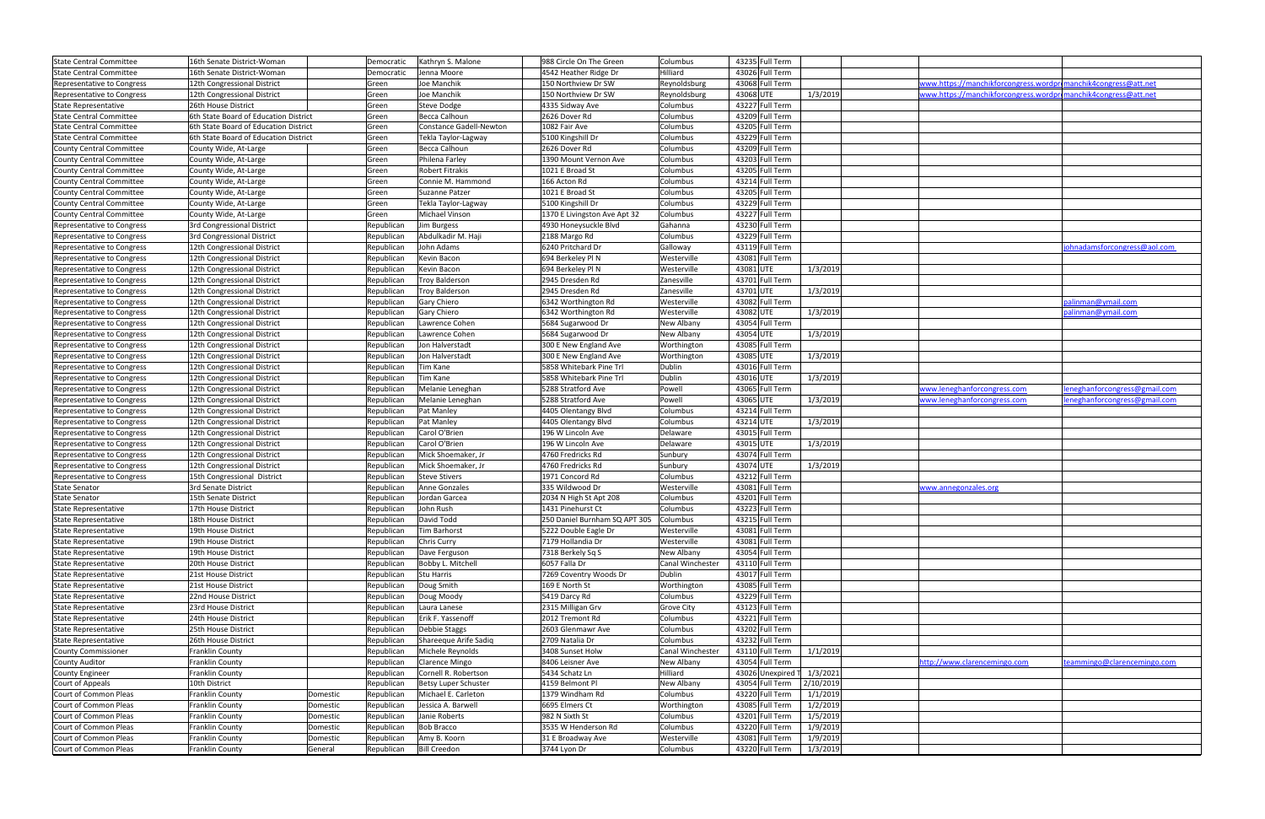| <b>State Central Committee</b>    | 16th Senate District-Woman            |          | Democratic | Kathryn S. Malone       | 988 Circle On The Green       | Columbus                |           | 43235 Full Term   |           |                                                                |                               |
|-----------------------------------|---------------------------------------|----------|------------|-------------------------|-------------------------------|-------------------------|-----------|-------------------|-----------|----------------------------------------------------------------|-------------------------------|
| <b>State Central Committee</b>    | 16th Senate District-Woman            |          | Democratic | Jenna Moore             | 4542 Heather Ridge Dr         | Hilliard                |           | 43026 Full Term   |           |                                                                |                               |
| Representative to Congress        | 12th Congressional District           |          | Green      | Joe Manchik             | 150 Northview Dr SW           | Reynoldsburg            |           | 43068 Full Term   |           | www.https://manchikforcongress.wordpromanchik4congress@att.net |                               |
| Representative to Congress        | 12th Congressional District           |          | Green      | Joe Manchik             | 150 Northview Dr SW           | Reynoldsburg            | 43068 UTE |                   | 1/3/2019  | www.https://manchikforcongress.wordpromanchik4congress@att.net |                               |
| <b>State Representative</b>       | 26th House District                   |          | Green      | <b>Steve Dodge</b>      | 4335 Sidway Ave               | Columbus                |           | 43227 Full Term   |           |                                                                |                               |
| <b>State Central Committee</b>    | 6th State Board of Education District |          | Green      | Becca Calhoun           | 2626 Dover Rd                 | Columbus                |           | 43209 Full Term   |           |                                                                |                               |
| <b>State Central Committee</b>    | 6th State Board of Education District |          | Green      | Constance Gadell-Newton | 1082 Fair Ave                 | Columbus                |           | 43205 Full Term   |           |                                                                |                               |
| <b>State Central Committee</b>    | 6th State Board of Education District |          | Green      | Tekla Taylor-Lagway     | 5100 Kingshill Dr             | Columbus                |           | 43229 Full Term   |           |                                                                |                               |
| County Central Committee          | County Wide, At-Large                 |          | Green      | Becca Calhoun           | 2626 Dover Rd                 | Columbus                |           | 43209 Full Term   |           |                                                                |                               |
| County Central Committee          | County Wide, At-Large                 |          | Green      | Philena Farley          | 1390 Mount Vernon Ave         | Columbus                |           | 43203 Full Term   |           |                                                                |                               |
| <b>County Central Committee</b>   | County Wide, At-Large                 |          | Green      | <b>Robert Fitrakis</b>  | 1021 E Broad St               | Columbus                |           | 43205 Full Term   |           |                                                                |                               |
|                                   |                                       |          |            | Connie M. Hammond       | 166 Acton Rd                  | Columbus                |           | 43214 Full Term   |           |                                                                |                               |
| County Central Committee          | County Wide, At-Large                 |          | Green      |                         |                               |                         |           |                   |           |                                                                |                               |
| <b>County Central Committee</b>   | County Wide, At-Large                 |          | Green      | Suzanne Patzer          | 1021 E Broad St               | Columbus                |           | 43205 Full Term   |           |                                                                |                               |
| County Central Committee          | County Wide, At-Large                 |          | Green      | Tekla Taylor-Lagway     | 5100 Kingshill Dr             | Columbus                |           | 43229 Full Term   |           |                                                                |                               |
| County Central Committee          | County Wide, At-Large                 |          | Green      | Michael Vinson          | 1370 E Livingston Ave Apt 32  | Columbus                |           | 43227 Full Term   |           |                                                                |                               |
| Representative to Congress        | 3rd Congressional District            |          | Republican | Jim Burgess             | 4930 Honeysuckle Blvd         | Gahanna                 |           | 43230 Full Term   |           |                                                                |                               |
| Representative to Congress        | 3rd Congressional District            |          | Republican | Abdulkadir M. Haji      | 2188 Margo Rd                 | Columbus                |           | 43229 Full Term   |           |                                                                |                               |
| Representative to Congress        | 12th Congressional District           |          | Republican | John Adams              | 6240 Pritchard Dr             | Galloway                |           | 43119 Full Term   |           |                                                                | iohnadamsforcongress@aol.com  |
| Representative to Congress        | 12th Congressional District           |          | Republican | Kevin Bacon             | 694 Berkeley Pl N             | Westerville             |           | 43081 Full Term   |           |                                                                |                               |
| Representative to Congress        | 12th Congressional District           |          | Republican | Kevin Bacon             | 694 Berkeley Pl N             | Westerville             | 43081 UTE |                   | 1/3/2019  |                                                                |                               |
| Representative to Congress        | 12th Congressional District           |          | Republican | Troy Balderson          | 2945 Dresden Rd               | Zanesville              |           | 43701 Full Term   |           |                                                                |                               |
| Representative to Congress        | 12th Congressional District           |          | Republican | <b>Troy Balderson</b>   | 2945 Dresden Rd               | Zanesville              | 43701 UTE |                   | 1/3/2019  |                                                                |                               |
|                                   | 12th Congressional District           |          | Republican | <b>Gary Chiero</b>      | 6342 Worthington Rd           | Westerville             |           | 43082 Full Term   |           |                                                                | palinman@ymail.com            |
| Representative to Congress        |                                       |          |            |                         |                               |                         |           |                   |           |                                                                |                               |
| Representative to Congress        | 12th Congressional District           |          | Republican | Gary Chiero             | 6342 Worthington Rd           | Westerville             | 43082 UTE |                   | 1/3/2019  |                                                                | palinman@ymail.com            |
| Representative to Congress        | 12th Congressional District           |          | Republican | Lawrence Cohen          | 5684 Sugarwood Dr             | New Albany              |           | 43054 Full Term   |           |                                                                |                               |
| <b>Representative to Congress</b> | 12th Congressional District           |          | Republican | Lawrence Cohen          | 5684 Sugarwood Dr             | New Albany              | 43054 UTE |                   | 1/3/2019  |                                                                |                               |
| <b>Representative to Congress</b> | 12th Congressional District           |          | Republican | Jon Halverstadt         | 300 E New England Ave         | Worthington             |           | 43085 Full Term   |           |                                                                |                               |
| Representative to Congress        | 12th Congressional District           |          | Republican | Jon Halverstadt         | 300 E New England Ave         | Worthington             | 43085 UTE |                   | 1/3/2019  |                                                                |                               |
| Representative to Congress        | 12th Congressional District           |          | Republican | Tim Kane                | 5858 Whitebark Pine Trl       | Dublin                  |           | 43016 Full Term   |           |                                                                |                               |
| Representative to Congress        | 12th Congressional District           |          | Republican | Tim Kane                | 5858 Whitebark Pine Trl       | Dublin                  | 43016 UTE |                   | 1/3/2019  |                                                                |                               |
| Representative to Congress        | 12th Congressional District           |          | Republican | Melanie Leneghan        | 5288 Stratford Ave            | Powell                  |           | 43065 Full Term   |           | www.leneghanforcongress.com                                    | eneghanforcongress@gmail.com  |
| Representative to Congress        | 12th Congressional District           |          | Republican | Melanie Leneghan        | 5288 Stratford Ave            | Powell                  | 43065 UTE |                   | 1/3/2019  | www.leneghanforcongress.com                                    | leneghanforcongress@gmail.com |
| Representative to Congress        | 12th Congressional District           |          | Republican | Pat Manley              | 4405 Olentangy Blvd           | Columbus                |           | 43214 Full Term   |           |                                                                |                               |
| Representative to Congress        | 12th Congressional District           |          | Republican | Pat Manley              | 4405 Olentangy Blvd           | Columbus                | 43214 UTE |                   | 1/3/2019  |                                                                |                               |
| Representative to Congress        | 12th Congressional District           |          | Republican | Carol O'Brien           | 196 W Lincoln Ave             | Delaware                |           | 43015 Full Term   |           |                                                                |                               |
| Representative to Congress        | 12th Congressional District           |          | Republican | Carol O'Brien           | 196 W Lincoln Ave             | Delaware                | 43015 UTE |                   | 1/3/2019  |                                                                |                               |
| <b>Representative to Congress</b> | 12th Congressional District           |          | Republican | Mick Shoemaker, Jr      | 4760 Fredricks Rd             | Sunbury                 |           | 43074 Full Term   |           |                                                                |                               |
|                                   |                                       |          |            |                         | 4760 Fredricks Rd             |                         | 43074 UTE |                   |           |                                                                |                               |
| <b>Representative to Congress</b> | 12th Congressional District           |          | Republican | Mick Shoemaker, Jr      |                               | Sunbury                 |           |                   | 1/3/2019  |                                                                |                               |
| Representative to Congress        | 15th Congressional District           |          | Republican | <b>Steve Stivers</b>    | 1971 Concord Rd               | Columbus                |           | 43212 Full Term   |           |                                                                |                               |
| <b>State Senator</b>              | 3rd Senate District                   |          | Republican | Anne Gonzales           | 335 Wildwood Dr               | Westerville             |           | 43081 Full Term   |           | www.annegonzales.org                                           |                               |
| <b>State Senator</b>              | 15th Senate District                  |          | Republican | Jordan Garcea           | 2034 N High St Apt 208        | Columbus                |           | 43201 Full Term   |           |                                                                |                               |
| <b>State Representative</b>       | 17th House District                   |          | Republican | John Rush               | 1431 Pinehurst Ct             | Columbus                |           | 43223 Full Term   |           |                                                                |                               |
| State Representative              | 18th House District                   |          | Republican | David Todd              | 250 Daniel Burnham SQ APT 305 | Columbus                |           | 43215 Full Term   |           |                                                                |                               |
| <b>State Representative</b>       | 19th House District                   |          | Republican | Tim Barhorst            | 5222 Double Eagle Dr          | Westerville             |           | 43081 Full Term   |           |                                                                |                               |
| State Representative              | 19th House District                   |          | Republican | Chris Curry             | 7179 Hollandia Dr             | Westerville             |           | 43081 Full Term   |           |                                                                |                               |
| State Representative              | 19th House District                   |          | Republican | Dave Ferguson           | 7318 Berkely Sq S             | New Albany              |           | 43054 Full Term   |           |                                                                |                               |
| State Representative              | 20th House District                   |          | Republican | Bobby L. Mitchell       | 6057 Falla Dr                 | Canal Winchester        |           | 43110 Full Term   |           |                                                                |                               |
| State Representative              | 21st House District                   |          | Republican | Stu Harris              | 7269 Coventry Woods Dr        | Dublin                  |           | 43017 Full Term   |           |                                                                |                               |
| <b>State Representative</b>       | 21st House District                   |          | Republican | Doug Smith              | 169 E North St                | Worthington             |           | 43085 Full Term   |           |                                                                |                               |
| <b>State Representative</b>       | 22nd House District                   |          | Republican | Doug Moody              | 5419 Darcy Rd                 | Columbus                |           | 43229 Full Term   |           |                                                                |                               |
| <b>State Representative</b>       | 23rd House District                   |          | Republican | Laura Lanese            | 2315 Milligan Grv             | <b>Grove City</b>       |           | 43123 Full Term   |           |                                                                |                               |
|                                   | 24th House District                   |          | Republican | Erik F. Yassenoff       | 2012 Tremont Rd               | Columbus                |           | 43221 Full Term   |           |                                                                |                               |
| <b>State Representative</b>       |                                       |          |            |                         |                               |                         |           |                   |           |                                                                |                               |
| <b>State Representative</b>       | 25th House District                   |          | Republican | <b>Debbie Staggs</b>    | 2603 Glenmawr Ave             | Columbus                |           | 43202 Full Term   |           |                                                                |                               |
| <b>State Representative</b>       | 26th House District                   |          | Republican | Shareeque Arife Sadiq   | 2709 Natalia Dr               | Columbus                |           | 43232 Full Term   |           |                                                                |                               |
| <b>County Commissioner</b>        | Franklin County                       |          | Republican | Michele Reynolds        | 3408 Sunset Holw              | <b>Canal Winchester</b> |           | 43110 Full Term   | 1/1/2019  |                                                                |                               |
| <b>County Auditor</b>             | Franklin County                       |          | Republican | <b>Clarence Mingo</b>   | 8406 Leisner Ave              | New Albany              |           | 43054 Full Term   |           | nttp://www.clarencemingo.com                                   | teammingo@clarencemingo.com   |
| <b>County Engineer</b>            | Franklin County                       |          | Republican | Cornell R. Robertson    | 5434 Schatz Ln                | Hilliard                |           | 43026 Unexpired T | 1/3/2021  |                                                                |                               |
| Court of Appeals                  | 10th District                         |          | Republican | Betsy Luper Schuster    | 4159 Belmont Pl               | New Albany              |           | 43054 Full Term   | 2/10/2019 |                                                                |                               |
| Court of Common Pleas             | Franklin County                       | Domestic | Republican | Michael E. Carleton     | 1379 Windham Rd               | Columbus                |           | 43220 Full Term   | 1/1/2019  |                                                                |                               |
| Court of Common Pleas             | Franklin County                       | Domestic | Republican | Jessica A. Barwell      | 6695 Elmers Ct                | Worthington             |           | 43085 Full Term   | 1/2/2019  |                                                                |                               |
| Court of Common Pleas             | Franklin County                       | Domestic | Republican | Janie Roberts           | 982 N Sixth St                | Columbus                |           | 43201 Full Term   | 1/5/2019  |                                                                |                               |
| Court of Common Pleas             | Franklin County                       | Domestic | Republican | <b>Bob Bracco</b>       | 3535 W Henderson Rd           | Columbus                |           | 43220 Full Term   | 1/9/2019  |                                                                |                               |
| Court of Common Pleas             | Franklin County                       | Domestic | Republican | Amy B. Koorn            | 31 E Broadway Ave             | Westerville             |           | 43081 Full Term   | 1/9/2019  |                                                                |                               |
| Court of Common Pleas             | Franklin County                       | General  | Republican | <b>Bill Creedon</b>     | 3744 Lyon Dr                  | Columbus                |           | 43220 Full Term   | 1/3/2019  |                                                                |                               |
|                                   |                                       |          |            |                         |                               |                         |           |                   |           |                                                                |                               |

| www.https://manchikforcongress.wordpromanchik4congress@att.net |                               |
|----------------------------------------------------------------|-------------------------------|
|                                                                |                               |
| www.https://manchikforcongress.wordpromanchik4congress@att.net |                               |
|                                                                |                               |
|                                                                |                               |
|                                                                |                               |
|                                                                |                               |
|                                                                |                               |
|                                                                |                               |
|                                                                |                               |
|                                                                |                               |
|                                                                |                               |
|                                                                |                               |
|                                                                |                               |
|                                                                |                               |
|                                                                |                               |
|                                                                |                               |
|                                                                |                               |
|                                                                |                               |
|                                                                |                               |
|                                                                | johnadamsforcongress@aol.com  |
|                                                                |                               |
|                                                                |                               |
|                                                                |                               |
|                                                                |                               |
|                                                                |                               |
|                                                                | palinman@ymail.com            |
|                                                                |                               |
|                                                                | palinman@ymail.com            |
|                                                                |                               |
|                                                                |                               |
|                                                                |                               |
|                                                                |                               |
|                                                                |                               |
|                                                                |                               |
|                                                                |                               |
|                                                                |                               |
| www.leneghanforcongress.com                                    | leneghanforcongress@gmail.com |
| www.leneghanforcongress.com                                    | leneghanforcongress@gmail.com |
|                                                                |                               |
|                                                                |                               |
|                                                                |                               |
|                                                                |                               |
|                                                                |                               |
|                                                                |                               |
|                                                                |                               |
|                                                                |                               |
|                                                                |                               |
|                                                                |                               |
| www.annegonzales.org                                           |                               |
|                                                                |                               |
|                                                                |                               |
|                                                                |                               |
|                                                                |                               |
|                                                                |                               |
|                                                                |                               |
|                                                                |                               |
|                                                                |                               |
|                                                                |                               |
|                                                                |                               |
|                                                                |                               |
|                                                                |                               |
|                                                                |                               |
|                                                                |                               |
|                                                                |                               |
|                                                                |                               |
|                                                                |                               |
|                                                                |                               |
|                                                                |                               |
| nttp://www.clarencemingo.com                                   |                               |
|                                                                | teammingo@clarencemingo.com   |
|                                                                |                               |
|                                                                |                               |
|                                                                |                               |
|                                                                |                               |
|                                                                |                               |
|                                                                |                               |
|                                                                |                               |
|                                                                |                               |
|                                                                |                               |
|                                                                |                               |
|                                                                |                               |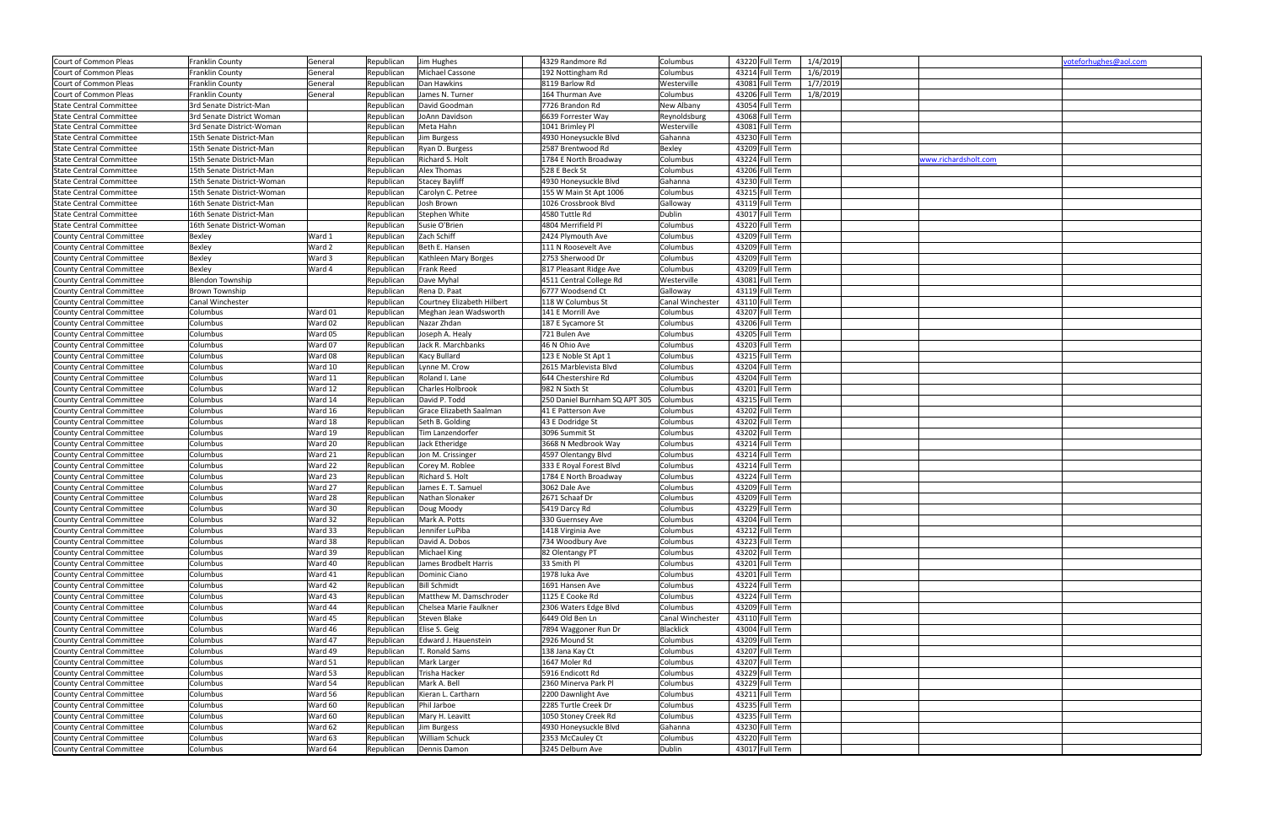| Court of Common Pleas           | Franklin County            | General | Republican | Jim Hughes                 | 4329 Randmore Rd              | Columbus         | 43220 Full Term | 1/4/2019             | voteforhughes@aol.com |
|---------------------------------|----------------------------|---------|------------|----------------------------|-------------------------------|------------------|-----------------|----------------------|-----------------------|
| Court of Common Pleas           | Franklin County            | General | Republican | Michael Cassone            | 192 Nottingham Rd             | Columbus         | 43214 Full Term | 1/6/2019             |                       |
| Court of Common Pleas           | Franklin County            | General | Republican | Dan Hawkins                | 8119 Barlow Rd                | Westerville      | 43081 Full Term | 1/7/2019             |                       |
| Court of Common Pleas           | Franklin County            | General | Republican | James N. Turner            | 164 Thurman Ave               | Columbus         | 43206 Full Term | 1/8/2019             |                       |
| <b>State Central Committee</b>  | 3rd Senate District-Man    |         | Republican | David Goodman              | 7726 Brandon Rd               | New Albany       | 43054 Full Term |                      |                       |
| <b>State Central Committee</b>  | 3rd Senate District Woman  |         | Republican | JoAnn Davidson             | 6639 Forrester Way            | Reynoldsburg     | 43068 Full Term |                      |                       |
| <b>State Central Committee</b>  | 3rd Senate District-Woman  |         | Republican | Meta Hahn                  | 1041 Brimley Pl               | Westerville      | 43081 Full Term |                      |                       |
| <b>State Central Committee</b>  | 15th Senate District-Man   |         | Republican | Jim Burgess                | 4930 Honeysuckle Blvd         | Gahanna          | 43230 Full Term |                      |                       |
| <b>State Central Committee</b>  | 15th Senate District-Man   |         | Republican | Ryan D. Burgess            | 2587 Brentwood Rd             | Bexley           | 43209 Full Term |                      |                       |
| <b>State Central Committee</b>  | 15th Senate District-Man   |         | Republican | Richard S. Holt            | 1784 E North Broadway         | Columbus         | 43224 Full Term | www.richardsholt.com |                       |
| <b>State Central Committee</b>  | 15th Senate District-Man   |         | Republican | Alex Thomas                | 528 E Beck St                 | Columbus         | 43206 Full Term |                      |                       |
| <b>State Central Committee</b>  | 15th Senate District-Woman |         | Republican | <b>Stacey Bayliff</b>      | 4930 Honeysuckle Blvd         | Gahanna          | 43230 Full Term |                      |                       |
| <b>State Central Committee</b>  | 15th Senate District-Woman |         | Republican | Carolyn C. Petree          | 155 W Main St Apt 1006        | Columbus         | 43215 Full Term |                      |                       |
| <b>State Central Committee</b>  | 16th Senate District-Man   |         | Republican | Josh Brown                 | 1026 Crossbrook Blvd          | Galloway         | 43119 Full Term |                      |                       |
| <b>State Central Committee</b>  | 16th Senate District-Man   |         | Republican | Stephen White              | 4580 Tuttle Rd                | Dublin           | 43017 Full Term |                      |                       |
| <b>State Central Committee</b>  | 16th Senate District-Woman |         | Republican | Susie O'Brien              | 4804 Merrifield Pl            | Columbus         | 43220 Full Term |                      |                       |
|                                 |                            |         |            |                            |                               |                  |                 |                      |                       |
| <b>County Central Committee</b> | Bexley                     | Ward 1  | Republican | Zach Schiff                | 2424 Plymouth Ave             | Columbus         | 43209 Full Term |                      |                       |
| <b>County Central Committee</b> | Bexley                     | Ward 2  | Republican | Beth E. Hansen             | 111 N Roosevelt Ave           | Columbus         | 43209 Full Term |                      |                       |
| <b>County Central Committee</b> | Bexley                     | Ward 3  | Republican | Kathleen Mary Borges       | 2753 Sherwood Dr              | Columbus         | 43209 Full Term |                      |                       |
| County Central Committee        | Bexley                     | Ward 4  | Republican | Frank Reed                 | 817 Pleasant Ridge Ave        | Columbus         | 43209 Full Term |                      |                       |
| <b>County Central Committee</b> | Blendon Township           |         | Republican | Dave Myhal                 | 4511 Central College Rd       | Westerville      | 43081 Full Term |                      |                       |
| <b>County Central Committee</b> | <b>Brown Township</b>      |         | Republican | Rena D. Paat               | 6777 Woodsend Ct              | Galloway         | 43119 Full Term |                      |                       |
| <b>County Central Committee</b> | Canal Winchester           |         | Republican | Courtney Elizabeth Hilbert | 118 W Columbus St             | Canal Winchester | 43110 Full Term |                      |                       |
| County Central Committee        | Columbus                   | Ward 01 | Republican | Meghan Jean Wadsworth      | 141 E Morrill Ave             | Columbus         | 43207 Full Term |                      |                       |
| County Central Committee        | Columbus                   | Ward 02 | Republican | Nazar Zhdan                | 187 E Sycamore St             | Columbus         | 43206 Full Term |                      |                       |
| County Central Committee        | Columbus                   | Ward 05 | Republican | Joseph A. Healy            | 721 Bulen Ave                 | Columbus         | 43205 Full Term |                      |                       |
| <b>County Central Committee</b> | Columbus                   | Ward 07 | Republican | Jack R. Marchbanks         | 46 N Ohio Ave                 | Columbus         | 43203 Full Term |                      |                       |
| County Central Committee        | Columbus                   | Ward 08 | Republican | Kacy Bullard               | 123 E Noble St Apt 1          | Columbus         | 43215 Full Term |                      |                       |
| County Central Committee        | Columbus                   | Ward 10 | Republican | Lynne M. Crow              | 2615 Marblevista Blvd         | Columbus         | 43204 Full Term |                      |                       |
| <b>County Central Committee</b> | Columbus                   | Ward 11 | Republican | Roland I. Lane             | 644 Chestershire Rd           | Columbus         | 43204 Full Term |                      |                       |
| <b>County Central Committee</b> | Columbus                   | Ward 12 | Republican | Charles Holbrook           | 982 N Sixth St                | Columbus         | 43201 Full Term |                      |                       |
| <b>County Central Committee</b> | Columbus                   | Ward 14 | Republican | David P. Todd              | 250 Daniel Burnham SQ APT 305 | Columbus         | 43215 Full Term |                      |                       |
| County Central Committee        | Columbus                   | Ward 16 | Republican | Grace Elizabeth Saalman    | 41 E Patterson Ave            | Columbus         | 43202 Full Term |                      |                       |
| <b>County Central Committee</b> | Columbus                   | Ward 18 | Republican | Seth B. Golding            | 43 E Dodridge St              | Columbus         | 43202 Full Term |                      |                       |
| <b>County Central Committee</b> | Columbus                   | Ward 19 | Republican | Tim Lanzendorfer           | 3096 Summit St                | Columbus         | 43202 Full Term |                      |                       |
| County Central Committee        | Columbus                   | Ward 20 | Republican | Jack Etheridge             | 3668 N Medbrook Way           | Columbus         | 43214 Full Term |                      |                       |
|                                 |                            |         |            |                            |                               | Columbus         |                 |                      |                       |
| <b>County Central Committee</b> | Columbus                   | Ward 21 | Republican | Jon M. Crissinger          | 4597 Olentangy Blvd           |                  | 43214 Full Term |                      |                       |
| <b>County Central Committee</b> | Columbus                   | Ward 22 | Republican | Corey M. Roblee            | 333 E Royal Forest Blvd       | Columbus         | 43214 Full Term |                      |                       |
| <b>County Central Committee</b> | Columbus                   | Ward 23 | Republican | Richard S. Holt            | 1784 E North Broadway         | Columbus         | 43224 Full Term |                      |                       |
| County Central Committee        | Columbus                   | Ward 27 | Republican | James E. T. Samuel         | 3062 Dale Ave                 | Columbus         | 43209 Full Term |                      |                       |
| County Central Committee        | Columbus                   | Ward 28 | Republican | Nathan Slonaker            | 2671 Schaaf Dr                | Columbus         | 43209 Full Term |                      |                       |
| <b>County Central Committee</b> | Columbus                   | Ward 30 | Republican | Doug Moody                 | 5419 Darcy Rd                 | Columbus         | 43229 Full Term |                      |                       |
| County Central Committee        | Columbus                   | Ward 32 | Republican | Mark A. Potts              | 330 Guernsey Ave              | Columbus         | 43204 Full Term |                      |                       |
| <b>County Central Committee</b> | Columbus                   | Ward 33 | Republican | Jennifer LuPiba            | 1418 Virginia Ave             | Columbus         | 43212 Full Term |                      |                       |
| County Central Committee        | Columbus                   | Ward 38 | Republican | David A. Dobos             | 734 Woodbury Ave              | Columbus         | 43223 Full Term |                      |                       |
| <b>County Central Committee</b> | Columbus                   | Ward 39 | Republican | Michael King               | 82 Olentangy PT               | Columbus         | 43202 Full Term |                      |                       |
| County Central Committee        | Columbus                   | Ward 40 | Republican | James Brodbelt Harris      | 33 Smith Pl                   | Columbus         | 43201 Full Term |                      |                       |
| County Central Committee        | Columbus                   | Ward 41 | Republican | Dominic Ciano              | 1978 luka Ave                 | Columbus         | 43201 Full Term |                      |                       |
| County Central Committee        | Columbus                   | Ward 42 | Republican | <b>Bill Schmidt</b>        | 1691 Hansen Ave               | Columbus         | 43224 Full Term |                      |                       |
| County Central Committee        | Columbus                   | Ward 43 | Republican | Matthew M. Damschroder     | 1125 E Cooke Rd               | Columbus         | 43224 Full Term |                      |                       |
| County Central Committee        | Columbus                   | Ward 44 | Republican | Chelsea Marie Faulkner     | 2306 Waters Edge Blvd         | Columbus         | 43209 Full Term |                      |                       |
| County Central Committee        | Columbus                   | Ward 45 | Republican | Steven Blake               | 6449 Old Ben Ln               | Canal Winchester | 43110 Full Term |                      |                       |
| County Central Committee        | Columbus                   | Ward 46 | Republican | Elise S. Geig              | 7894 Waggoner Run Dr          | <b>Blacklick</b> | 43004 Full Term |                      |                       |
| County Central Committee        | Columbus                   | Ward 47 | Republican | Edward J. Hauenstein       | 2926 Mound St                 | Columbus         | 43209 Full Term |                      |                       |
| <b>County Central Committee</b> | Columbus                   | Ward 49 | Republican | . Ronald Sams              | 138 Jana Kay Ct               | Columbus         | 43207 Full Term |                      |                       |
| <b>County Central Committee</b> | Columbus                   | Ward 51 | Republican | Mark Larger                | 1647 Moler Rd                 | Columbus         | 43207 Full Term |                      |                       |
| <b>County Central Committee</b> | Columbus                   | Ward 53 | Republican | Trisha Hacker              | 5916 Endicott Rd              | Columbus         | 43229 Full Term |                      |                       |
| County Central Committee        | Columbus                   | Ward 54 | Republican | Mark A. Bell               | 2360 Minerva Park Pl          | Columbus         | 43229 Full Term |                      |                       |
|                                 |                            |         |            |                            |                               |                  |                 |                      |                       |
| <b>County Central Committee</b> | Columbus                   | Ward 56 | Republican | Kieran L. Cartharn         | 2200 Dawnlight Ave            | Columbus         | 43211 Full Term |                      |                       |
| <b>County Central Committee</b> | Columbus                   | Ward 60 | Republican | Phil Jarboe                | 2285 Turtle Creek Dr          | Columbus         | 43235 Full Term |                      |                       |
| County Central Committee        | Columbus                   | Ward 60 | Republican | Mary H. Leavitt            | 1050 Stoney Creek Rd          | Columbus         | 43235 Full Term |                      |                       |
| County Central Committee        | Columbus                   | Ward 62 | Republican | Jim Burgess                | 4930 Honeysuckle Blvd         | Gahanna          | 43230 Full Term |                      |                       |
| <b>County Central Committee</b> | Columbus                   | Ward 63 | Republican | William Schuck             | 2353 McCauley Ct              | Columbus         | 43220 Full Term |                      |                       |
| County Central Committee        | Columbus                   | Ward 64 | Republican | Dennis Damon               | 3245 Delburn Ave              | Dublin           | 43017 Full Term |                      |                       |

|                      | voteforhughes@aol.com |
|----------------------|-----------------------|
|                      |                       |
|                      |                       |
|                      |                       |
|                      |                       |
|                      |                       |
|                      |                       |
| www.richardsholt.com |                       |
|                      |                       |
|                      |                       |
|                      |                       |
|                      |                       |
|                      |                       |
|                      |                       |
|                      |                       |
|                      |                       |
|                      |                       |
|                      |                       |
|                      |                       |
|                      |                       |
|                      |                       |
|                      |                       |
|                      |                       |
|                      |                       |
|                      |                       |
|                      |                       |
|                      |                       |
|                      |                       |
|                      |                       |
|                      |                       |
|                      |                       |
|                      |                       |
|                      |                       |
|                      |                       |
|                      |                       |
|                      |                       |
|                      |                       |
|                      |                       |
|                      |                       |
|                      |                       |
|                      |                       |
|                      |                       |
|                      |                       |
|                      |                       |
|                      |                       |
|                      |                       |
|                      |                       |
|                      |                       |
|                      |                       |
|                      |                       |
|                      |                       |
|                      |                       |
|                      |                       |
|                      |                       |
|                      |                       |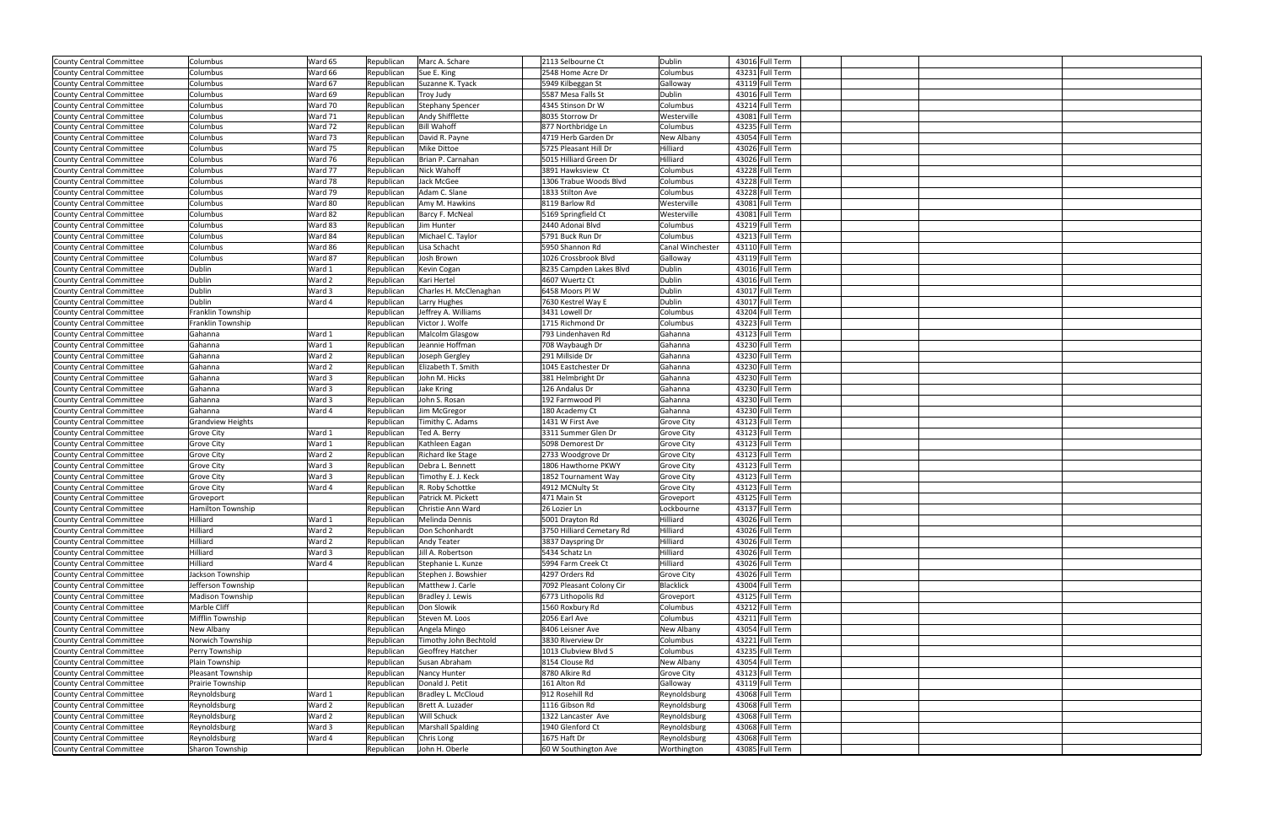| County Central Committee        | Columbus                 | Ward 65 | Republican | Marc A. Schare           | 2113 Selbourne Ct         | Dublin            | 43016 Full Term |  |
|---------------------------------|--------------------------|---------|------------|--------------------------|---------------------------|-------------------|-----------------|--|
| County Central Committee        | Columbus                 | Ward 66 | Republican | Sue E. King              | 2548 Home Acre Dr         | Columbus          | 43231 Full Term |  |
|                                 | Columbus                 |         |            |                          |                           |                   |                 |  |
| County Central Committee        |                          | Ward 67 | Republican | Suzanne K. Tyack         | 5949 Kilbeggan St         | Galloway          | 43119 Full Term |  |
| <b>County Central Committee</b> | Columbus                 | Ward 69 | Republican | <b>Troy Judy</b>         | 5587 Mesa Falls St        | Dublin            | 43016 Full Term |  |
| County Central Committee        | Columbus                 | Ward 70 | Republican | <b>Stephany Spencer</b>  | 4345 Stinson Dr W         | Columbus          | 43214 Full Term |  |
| County Central Committee        | Columbus                 | Ward 71 | Republican | Andy Shifflette          | 8035 Storrow Dr           | Westerville       | 43081 Full Term |  |
| County Central Committee        | Columbus                 | Ward 72 | Republican | <b>Bill Wahoff</b>       | 877 Northbridge Ln        | Columbus          | 43235 Full Term |  |
| County Central Committee        | Columbus                 | Ward 73 | Republican | David R. Payne           | 4719 Herb Garden Dr       | New Albany        | 43054 Full Term |  |
| County Central Committee        | Columbus                 | Ward 75 | Republican | Mike Dittoe              | 5725 Pleasant Hill Dr     | Hilliard          | 43026 Full Term |  |
| <b>County Central Committee</b> | Columbus                 | Ward 76 | Republican | Brian P. Carnahan        | 5015 Hilliard Green Dr    | Hilliard          | 43026 Full Term |  |
| County Central Committee        | Columbus                 | Ward 77 | Republican | Nick Wahoff              | 3891 Hawksview Ct         | Columbus          | 43228 Full Term |  |
| County Central Committee        | Columbus                 | Ward 78 | Republican | Jack McGee               | 1306 Trabue Woods Blvd    | Columbus          | 43228 Full Term |  |
| County Central Committee        | Columbus                 | Ward 79 | Republican | Adam C. Slane            | 1833 Stilton Ave          | Columbus          | 43228 Full Term |  |
| County Central Committee        | Columbus                 | Ward 80 | Republican | Amy M. Hawkins           | 8119 Barlow Rd            | Westerville       | 43081 Full Term |  |
| County Central Committee        | Columbus                 | Ward 82 | Republican | Barcy F. McNeal          | 5169 Springfield Ct       | Westerville       | 43081 Full Term |  |
| County Central Committee        | Columbus                 | Ward 83 | Republican | Jim Hunter               | 2440 Adonai Blvd          | Columbus          | 43219 Full Term |  |
|                                 |                          |         |            |                          |                           |                   |                 |  |
| County Central Committee        | Columbus                 | Ward 84 | Republican | Michael C. Taylor        | 5791 Buck Run Dr          | Columbus          | 43213 Full Term |  |
| County Central Committee        | Columbus                 | Ward 86 | Republican | Lisa Schacht             | 5950 Shannon Rd           | Canal Winchester  | 43110 Full Term |  |
| County Central Committee        | Columbus                 | Ward 87 | Republican | Josh Brown               | 1026 Crossbrook Blvd      | Galloway          | 43119 Full Term |  |
| <b>County Central Committee</b> | Dublin                   | Ward 1  | Republican | Kevin Cogan              | 8235 Campden Lakes Blvd   | Dublin            | 43016 Full Term |  |
| County Central Committee        | Dublin                   | Ward 2  | Republican | Kari Hertel              | 4607 Wuertz Ct            | Dublin            | 43016 Full Term |  |
| County Central Committee        | Dublin                   | Ward 3  | Republican | Charles H. McClenaghan   | 6458 Moors Pl W           | Dublin            | 43017 Full Term |  |
| County Central Committee        | Dublin                   | Ward 4  | Republican | Larry Hughes             | 7630 Kestrel Way E        | Dublin            | 43017 Full Term |  |
| County Central Committee        | Franklin Township        |         | Republican | Jeffrey A. Williams      | 3431 Lowell Dr            | Columbus          | 43204 Full Term |  |
| County Central Committee        | Franklin Township        |         | Republican | Victor J. Wolfe          | 1715 Richmond Dr          | Columbus          | 43223 Full Term |  |
| County Central Committee        | Gahanna                  | Ward 1  | Republican | Malcolm Glasgow          | 793 Lindenhaven Rd        | Gahanna           | 43123 Full Term |  |
| County Central Committee        | Gahanna                  | Ward 1  | Republican | Jeannie Hoffman          | 708 Waybaugh Dr           | Gahanna           | 43230 Full Term |  |
| County Central Committee        | Gahanna                  | Ward 2  | Republican | Joseph Gergley           | 291 Millside Dr           | Gahanna           | 43230 Full Term |  |
|                                 |                          |         |            |                          |                           |                   |                 |  |
| County Central Committee        | Gahanna                  | Ward 2  | Republican | Elizabeth T. Smith       | 1045 Eastchester Dr       | Gahanna           | 43230 Full Term |  |
| County Central Committee        | Gahanna                  | Ward 3  | Republican | John M. Hicks            | 381 Helmbright Dr         | Gahanna           | 43230 Full Term |  |
| <b>County Central Committee</b> | Gahanna                  | Ward 3  | Republican | Jake Kring               | 126 Andalus Dr            | Gahanna           | 43230 Full Term |  |
| County Central Committee        | Gahanna                  | Ward 3  | Republican | John S. Rosan            | 192 Farmwood Pl           | Gahanna           | 43230 Full Term |  |
| County Central Committee        | Gahanna                  | Ward 4  | Republican | Jim McGregor             | 180 Academy Ct            | Gahanna           | 43230 Full Term |  |
| County Central Committee        | <b>Grandview Heights</b> |         | Republican | Timithy C. Adams         | 1431 W First Ave          | <b>Grove City</b> | 43123 Full Term |  |
| County Central Committee        | <b>Grove City</b>        | Ward 1  | Republican | Ted A. Berry             | 3311 Summer Glen Dr       | <b>Grove City</b> | 43123 Full Term |  |
| County Central Committee        | <b>Grove City</b>        | Ward 1  | Republican | Kathleen Eagan           | 5098 Demorest Dr          | <b>Grove City</b> | 43123 Full Term |  |
| County Central Committee        | <b>Grove City</b>        | Ward 2  | Republican | Richard Ike Stage        | 2733 Woodgrove Dr         | <b>Grove City</b> | 43123 Full Term |  |
| County Central Committee        | Grove City               | Ward 3  | Republican | Debra L. Bennett         | 1806 Hawthorne PKWY       | <b>Grove City</b> | 43123 Full Term |  |
| County Central Committee        | Grove City               | Ward 3  | Republican | Timothy E. J. Keck       | 1852 Tournament Way       | <b>Grove City</b> | 43123 Full Term |  |
| County Central Committee        | <b>Grove City</b>        | Ward 4  | Republican | R. Roby Schottke         | 4912 MCNulty St           | <b>Grove City</b> | 43123 Full Term |  |
| County Central Committee        | Groveport                |         | Republican | Patrick M. Pickett       | 471 Main St               | Groveport         | 43125 Full Term |  |
|                                 |                          |         | Republican |                          |                           | Lockbourne        | 43137 Full Term |  |
| County Central Committee        | Hamilton Township        |         |            | Christie Ann Ward        | 26 Lozier Ln              |                   |                 |  |
| County Central Committee        | Hilliard                 | Ward 1  | Republican | Melinda Dennis           | 5001 Drayton Rd           | Hilliard          | 43026 Full Term |  |
| County Central Committee        | Hilliard                 | Ward 2  | Republican | Don Schonhardt           | 3750 Hilliard Cemetary Rd | Hilliard          | 43026 Full Term |  |
| County Central Committee        | Hilliard                 | Ward 2  | Republican | Andy Teater              | 3837 Dayspring Dr         | Hilliard          | 43026 Full Term |  |
| County Central Committee        | Hilliard                 | Ward 3  | Republican | Jill A. Robertson        | 5434 Schatz Ln            | Hilliard          | 43026 Full Term |  |
| County Central Committee        | Hilliard                 | Ward 4  | Republican | Stephanie L. Kunze       | 5994 Farm Creek Ct        | Hilliard          | 43026 Full Term |  |
| County Central Committee        | Jackson Township         |         | Republican | Stephen J. Bowshier      | 4297 Orders Rd            | <b>Grove City</b> | 43026 Full Term |  |
| <b>County Central Committee</b> | Jefferson Township       |         | Republican | Matthew J. Carle         | 7092 Pleasant Colony Cir  | Blacklick         | 43004 Full Term |  |
| <b>County Central Committee</b> | Madison Township         |         | Republican | Bradley J. Lewis         | 6773 Lithopolis Rd        | Groveport         | 43125 Full Term |  |
| County Central Committee        | Marble Cliff             |         | Republican | Don Slowik               | 1560 Roxbury Rd           | Columbus          | 43212 Full Term |  |
| County Central Committee        | Mifflin Township         |         | Republican | Steven M. Loos           | 2056 Earl Ave             | Columbus          | 43211 Full Term |  |
| County Central Committee        | New Albany               |         | Republican | Angela Mingo             | 8406 Leisner Ave          | New Albany        | 43054 Full Term |  |
| <b>County Central Committee</b> | Norwich Township         |         | Republican | Timothy John Bechtold    | 3830 Riverview Dr         | Columbus          | 43221 Full Term |  |
| County Central Committee        | Perry Township           |         | Republican | Geoffrey Hatcher         | 1013 Clubview Blvd S      | Columbus          | 43235 Full Term |  |
| County Central Committee        | Plain Township           |         | Republican | Susan Abraham            | 8154 Clouse Rd            | New Albany        | 43054 Full Term |  |
|                                 |                          |         |            |                          |                           |                   |                 |  |
| <b>County Central Committee</b> | Pleasant Township        |         | Republican | Nancy Hunter             | 8780 Alkire Rd            | <b>Grove City</b> | 43123 Full Term |  |
| <b>County Central Committee</b> |                          |         | Republican | Donald J. Petit          | 161 Alton Rd              | Galloway          | 43119 Full Term |  |
|                                 | Prairie Township         |         |            |                          |                           |                   |                 |  |
| County Central Committee        | Reynoldsburg             | Ward 1  | Republican | Bradley L. McCloud       | 912 Rosehill Rd           | Reynoldsburg      | 43068 Full Term |  |
| County Central Committee        | Reynoldsburg             | Ward 2  | Republican | Brett A. Luzader         | 1116 Gibson Rd            | Reynoldsburg      | 43068 Full Term |  |
| County Central Committee        | Reynoldsburg             | Ward 2  | Republican | Will Schuck              | 1322 Lancaster Ave        | Reynoldsburg      | 43068 Full Term |  |
| County Central Committee        | Reynoldsburg             | Ward 3  | Republican | <b>Marshall Spalding</b> | 1940 Glenford Ct          | Reynoldsburg      | 43068 Full Term |  |
| County Central Committee        | Reynoldsburg             | Ward 4  | Republican | Chris Long               | 1675 Haft Dr              | Reynoldsburg      | 43068 Full Term |  |
| County Central Committee        | Sharon Township          |         | Republican | John H. Oberle           | 60 W Southington Ave      | Worthington       | 43085 Full Term |  |